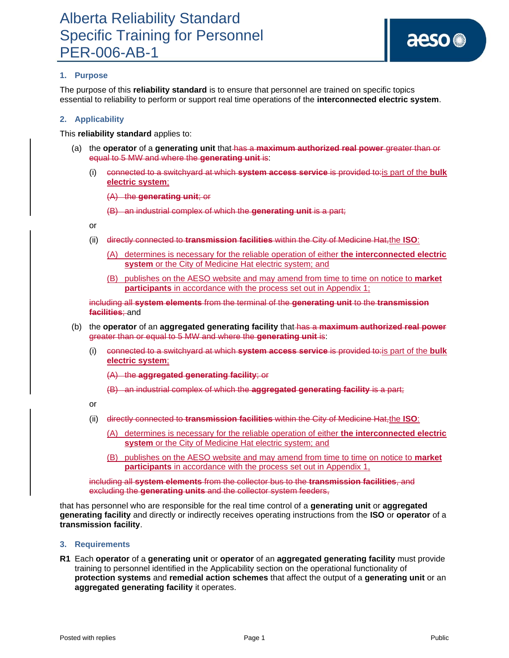## **1. Purpose**

The purpose of this **reliability standard** is to ensure that personnel are trained on specific topics essential to reliability to perform or support real time operations of the **interconnected electric system**.

#### **2. Applicability**

This **reliability standard** applies to:

- (a) the **operator** of a **generating unit** that has a **maximum authorized real power** greater than or equal to 5 MW and where the **generating unit** is:
	- (i) connected to a switchyard at which **system access service** is provided to:is part of the **bulk electric system**;
		- (A) the **generating unit**; or
		- (B) an industrial complex of which the **generating unit** is a part;

or

- (ii) directly connected to **transmission facilities** within the City of Medicine Hat,the **ISO**:
	- (A) determines is necessary for the reliable operation of either **the interconnected electric system** or the City of Medicine Hat electric system; and
	- (B) publishes on the AESO website and may amend from time to time on notice to **market participants** in accordance with the process set out in Appendix 1;

including all **system elements** from the terminal of the **generating unit** to the **transmission facilities**; and

- (b) the **operator** of an **aggregated generating facility** that has a **maximum authorized real power** greater than or equal to 5 MW and where the **generating unit** is:
	- (i) connected to a switchyard at which **system access service** is provided to:is part of the **bulk electric system**;
		- (A) the **aggregated generating facility**; or
		- (B) an industrial complex of which the **aggregated generating facility** is a part;

or

- (ii) directly connected to **transmission facilities** within the City of Medicine Hat,the **ISO**:
	- (A) determines is necessary for the reliable operation of either **the interconnected electric system** or the City of Medicine Hat electric system; and
	- (B) publishes on the AESO website and may amend from time to time on notice to **market participants** in accordance with the process set out in Appendix 1,

including all **system elements** from the collector bus to the **transmission facilities**, and excluding the **generating units** and the collector system feeders,

that has personnel who are responsible for the real time control of a **generating unit** or **aggregated generating facility** and directly or indirectly receives operating instructions from the **ISO** or **operator** of a **transmission facility**.

- **3. Requirements**
- **R1** Each **operator** of a **generating unit** or **operator** of an **aggregated generating facility** must provide training to personnel identified in the Applicability section on the operational functionality of **protection systems** and **remedial action schemes** that affect the output of a **generating unit** or an **aggregated generating facility** it operates.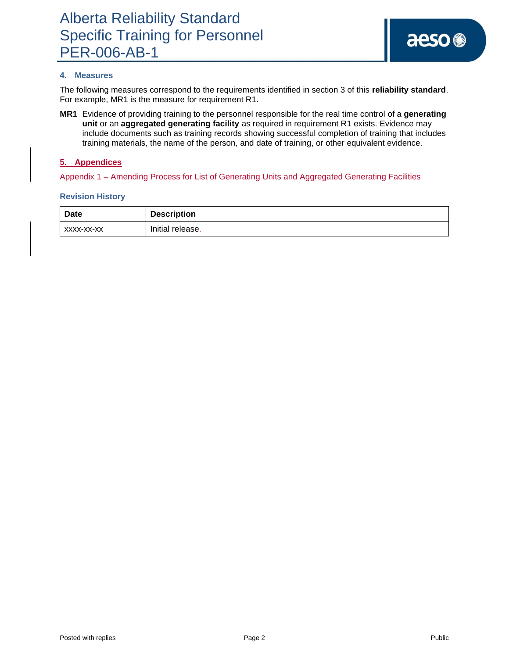#### **4. Measures**

The following measures correspond to the requirements identified in section 3 of this **reliability standard**. For example, MR1 is the measure for requirement R1.

**MR1** Evidence of providing training to the personnel responsible for the real time control of a **generating unit** or an **aggregated generating facility** as required in requirement R1 exists. Evidence may include documents such as training records showing successful completion of training that includes training materials, the name of the person, and date of training, or other equivalent evidence.

## **5. Appendices**

Appendix 1 – Amending Process for List of Generating Units and Aggregated Generating Facilities

#### **Revision History**

| <b>Date</b> | <b>Description</b> |
|-------------|--------------------|
| XXXX-XX-XX  | Initial release-   |